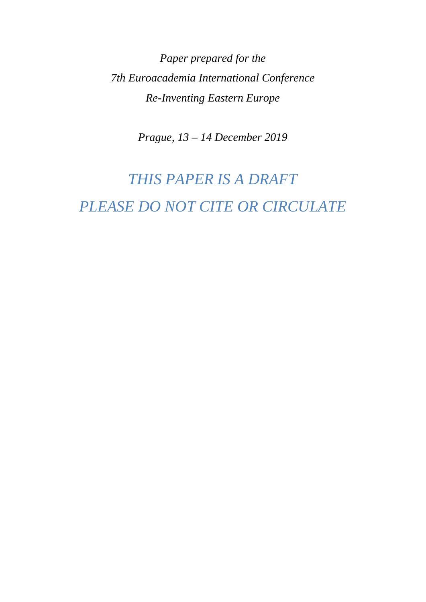*Paper prepared for the 7th Euroacademia International Conference Re-Inventing Eastern Europe* 

*Prague, 13 – 14 December 2019* 

# *THIS PAPER IS A DRAFT PLEASE DO NOT CITE OR CIRCULATE*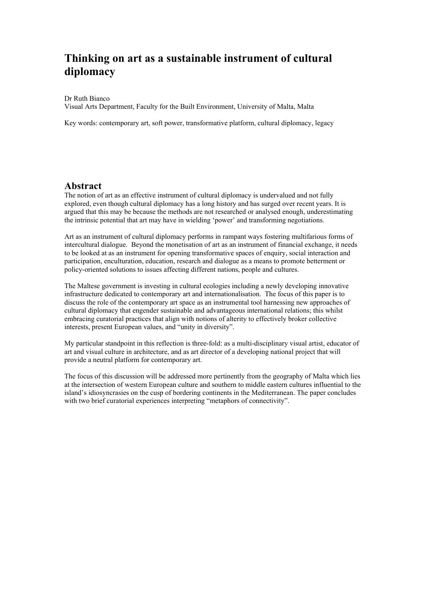## **Thinking on art as a sustainable instrument of cultural diplomacy**

Dr Ruth Bianco

Visual Arts Department, Faculty for the Built Environment, University of Malta, Malta

Key words: contemporary art, soft power, transformative platform, cultural diplomacy, legacy

## **Abstract**

The notion of art as an effective instrument of cultural diplomacy is undervalued and not fully explored, even though cultural diplomacy has a long history and has surged over recent years. It is argued that this may be because the methods are not researched or analysed enough, underestimating the intrinsic potential that art may have in wielding 'power' and transforming negotiations.

Art as an instrument of cultural diplomacy performs in rampant ways fostering multifarious forms of intercultural dialogue. Beyond the monetisation of art as an instrument of financial exchange, it needs to be looked at as an instrument for opening transformative spaces of enquiry, social interaction and participation, enculturation, education, research and dialogue as a means to promote betterment or policy-oriented solutions to issues affecting different nations, people and cultures.

The Maltese government is investing in cultural ecologies including a newly developing innovative infrastructure dedicated to contemporary art and internationalisation. The focus of this paper is to discuss the role of the contemporary art space as an instrumental tool harnessing new approaches of cultural diplomacy that engender sustainable and advantageous international relations; this whilst embracing curatorial practices that align with notions of alterity to effectively broker collective interests, present European values, and "unity in diversity".

My particular standpoint in this reflection is three-fold: as a multi-disciplinary visual artist, educator of art and visual culture in architecture, and as art director of a developing national project that will provide a neutral platform for contemporary art.

The focus of this discussion will be addressed more pertinently from the geography of Malta which lies at the intersection of western European culture and southern to middle eastern cultures influential to the island's idiosyncrasies on the cusp of bordering continents in the Mediterranean. The paper concludes with two brief curatorial experiences interpreting "metaphors of connectivity".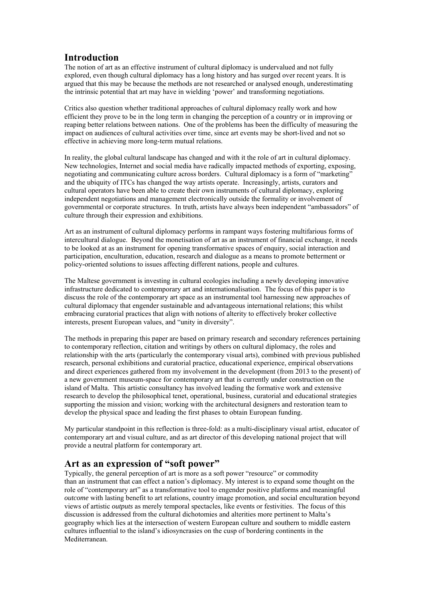## **Introduction**

The notion of art as an effective instrument of cultural diplomacy is undervalued and not fully explored, even though cultural diplomacy has a long history and has surged over recent years. It is argued that this may be because the methods are not researched or analysed enough, underestimating the intrinsic potential that art may have in wielding 'power' and transforming negotiations.

Critics also question whether traditional approaches of cultural diplomacy really work and how efficient they prove to be in the long term in changing the perception of a country or in improving or reaping better relations between nations. One of the problems has been the difficulty of measuring the impact on audiences of cultural activities over time, since art events may be short-lived and not so effective in achieving more long-term mutual relations.

In reality, the global cultural landscape has changed and with it the role of art in cultural diplomacy. New technologies, Internet and social media have radically impacted methods of exporting, exposing, negotiating and communicating culture across borders. Cultural diplomacy is a form of "marketing" and the ubiquity of ITCs has changed the way artists operate. Increasingly, artists, curators and cultural operators have been able to create their own instruments of cultural diplomacy, exploring independent negotiations and management electronically outside the formality or involvement of governmental or corporate structures. In truth, artists have always been independent "ambassadors" of culture through their expression and exhibitions.

Art as an instrument of cultural diplomacy performs in rampant ways fostering multifarious forms of intercultural dialogue. Beyond the monetisation of art as an instrument of financial exchange, it needs to be looked at as an instrument for opening transformative spaces of enquiry, social interaction and participation, enculturation, education, research and dialogue as a means to promote betterment or policy-oriented solutions to issues affecting different nations, people and cultures.

The Maltese government is investing in cultural ecologies including a newly developing innovative infrastructure dedicated to contemporary art and internationalisation. The focus of this paper is to discuss the role of the contemporary art space as an instrumental tool harnessing new approaches of cultural diplomacy that engender sustainable and advantageous international relations; this whilst embracing curatorial practices that align with notions of alterity to effectively broker collective interests, present European values, and "unity in diversity".

The methods in preparing this paper are based on primary research and secondary references pertaining to contemporary reflection, citation and writings by others on cultural diplomacy, the roles and relationship with the arts (particularly the contemporary visual arts), combined with previous published research, personal exhibitions and curatorial practice, educational experience, empirical observations and direct experiences gathered from my involvement in the development (from 2013 to the present) of a new government museum-space for contemporary art that is currently under construction on the island of Malta. This artistic consultancy has involved leading the formative work and extensive research to develop the philosophical tenet, operational, business, curatorial and educational strategies supporting the mission and vision; working with the architectural designers and restoration team to develop the physical space and leading the first phases to obtain European funding.

My particular standpoint in this reflection is three-fold: as a multi-disciplinary visual artist, educator of contemporary art and visual culture, and as art director of this developing national project that will provide a neutral platform for contemporary art.

## **Art as an expression of "soft power"**

Typically, the general perception of art is more as a soft power "resource" or commodity than an instrument that can effect a nation's diplomacy. My interest is to expand some thought on the role of "contemporary art" as a transformative tool to engender positive platforms and meaningful *outcome* with lasting benefit to art relations, country image promotion, and social enculturation beyond views of artistic *outputs* as merely temporal spectacles, like events or festivities. The focus of this discussion is addressed from the cultural dichotomies and alterities more pertinent to Malta's geography which lies at the intersection of western European culture and southern to middle eastern cultures influential to the island's idiosyncrasies on the cusp of bordering continents in the Mediterranean.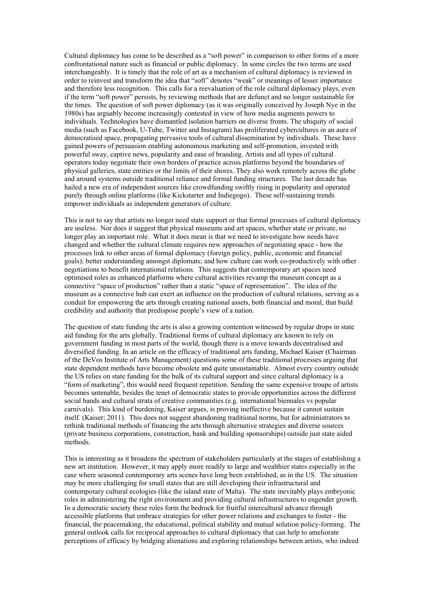Cultural diplomacy has come to be described as a "soft power" in comparison to other forms of a more confrontational nature such as financial or public diplomacy. In some circles the two terms are used interchangeably. It is timely that the role of art as a mechanism of cultural diplomacy is reviewed in order to reinvest and transform the idea that "soft" denotes "weak" or meanings of lesser importance and therefore less recognition. This calls for a reevaluation of the role cultural diplomacy plays, even if the term "soft power" persists, by reviewing methods that are defunct and no longer sustainable for the times. The question of soft power diplomacy (as it was originally conceived by Joseph Nye in the 1980s) has arguably become increasingly contested in view of how media augments powers to individuals. Technologies have dismantled isolation barriers on diverse fronts. The ubiquity of social media (such as Facebook, U-Tube, Twitter and Instagram) has proliferated cybercultures in an aura of democratised space, propagating pervasive tools of cultural dissemination by individuals. These have gained powers of persuasion enabling autonomous marketing and self-promotion, invested with powerful sway, captive news, popularity and ease of branding. Artists and all types of cultural operators today negotiate their own borders of practice across platforms beyond the boundaries of physical galleries, state entities or the limits of their shores. They also work remotely across the globe and around systems outside traditional reliance and formal funding structures. The last decade has hailed a new era of independent sources like crowdfunding swiftly rising in popularity and operated purely through online platforms (like Kickstarter and Indiegogo). These self-sustaining trends empower individuals as independent generators of culture.

This is not to say that artists no longer need state support or that formal processes of cultural diplomacy are useless. Nor does it suggest that physical museums and art spaces, whether state or private, no longer play an important role. What it does mean is that we need to investigate how needs have changed and whether the cultural climate requires new approaches of negotiating space - how the processes link to other areas of formal diplomacy (foreign policy, public, economic and financial goals); better understanding amongst diplomats; and how culture can work co-productively with other negotiations to benefit international relations. This suggests that contemporary art spaces need optimised roles as enhanced platforms where cultural activities revamp the museum concept as a connective "space of production" rather than a static "space of representation". The idea of the museum as a connective hub can exert an influence on the production of cultural relations, serving as a conduit for empowering the arts through creating national assets, both financial and moral, that build credibility and authority that predispose people's view of a nation.

The question of state funding the arts is also a growing contention witnessed by regular drops in state aid funding for the arts globally. Traditional forms of cultural diplomacy are known to rely on government funding in most parts of the world, though there is a move towards decentralised and diversified funding. In an article on the efficacy of traditional arts funding, Michael Kaiser (Chairman of the DeVos Institute of Arts Management) questions some of these traditional processes arguing that state dependent methods have become obsolete and quite unsustainable. Almost every country outside the US relies on state funding for the bulk of its cultural support and since cultural diplomacy is a "form of marketing", this would need frequent repetition. Sending the same expensive troupe of artists becomes untenable, besides the tenet of democratic states to provide opportunities across the different social bands and cultural strata of creative communities (e.g. international biennales vs popular carnivals). This kind of burdening, Kaiser argues, is proving ineffective because it cannot sustain itself. (Kaiser; 2011). This does not suggest abandoning traditional norms, but for administrators to rethink traditional methods of financing the arts through alternative strategies and diverse sources (private business corporations, construction, bank and building sponsorships) outside just state aided methods.

This is interesting as it broadens the spectrum of stakeholders particularly at the stages of establishing a new art institution. However, it may apply more readily to large and wealthier states especially in the case where seasoned contemporary arts scenes have long been established, as in the US. The situation may be more challenging for small states that are still developing their infrastructural and contemporary cultural ecologies (like the island state of Malta). The state inevitably plays embryonic roles in administering the right environment and providing cultural infrastructures to engender growth. In a democratic society these roles form the bedrock for fruitful intercultural advance through accessible platforms that embrace strategies for other power relations and exchanges to foster - the financial, the peacemaking, the educational, political stability and mutual solution policy-forming. The general outlook calls for reciprocal approaches to cultural diplomacy that can help to ameliorate perceptions of efficacy by bridging alienations and exploring relationships between artists, who indeed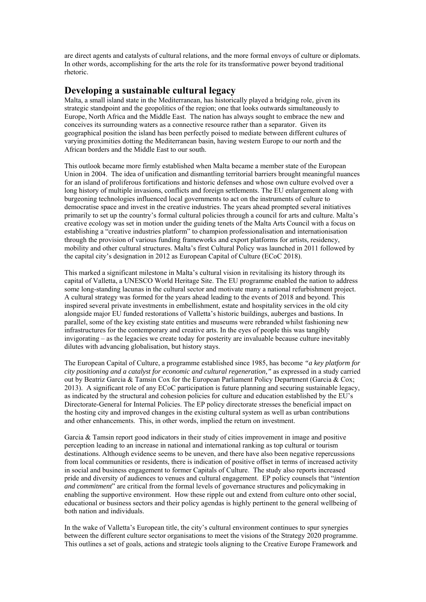are direct agents and catalysts of cultural relations, and the more formal envoys of culture or diplomats. In other words, accomplishing for the arts the role for its transformative power beyond traditional rhetoric.

#### **Developing a sustainable cultural legacy**

Malta, a small island state in the Mediterranean, has historically played a bridging role, given its strategic standpoint and the geopolitics of the region; one that looks outwards simultaneously to Europe, North Africa and the Middle East. The nation has always sought to embrace the new and conceives its surrounding waters as a connective resource rather than a separator. Given its geographical position the island has been perfectly poised to mediate between different cultures of varying proximities dotting the Mediterranean basin, having western Europe to our north and the African borders and the Middle East to our south.

This outlook became more firmly established when Malta became a member state of the European Union in 2004. The idea of unification and dismantling territorial barriers brought meaningful nuances for an island of proliferous fortifications and historic defenses and whose own culture evolved over a long history of multiple invasions, conflicts and foreign settlements. The EU enlargement along with burgeoning technologies influenced local governments to act on the instruments of culture to democratise space and invest in the creative industries. The years ahead prompted several initiatives primarily to set up the country's formal cultural policies through a council for arts and culture. Malta's creative ecology was set in motion under the guiding tenets of the Malta Arts Council with a focus on establishing a "creative industries platform" to champion professionalisation and internationisation through the provision of various funding frameworks and export platforms for artists, residency, mobility and other cultural structures. Malta's first Cultural Policy was launched in 2011 followed by the capital city's designation in 2012 as European Capital of Culture (ECoC 2018).

This marked a significant milestone in Malta's cultural vision in revitalising its history through its capital of Valletta, a UNESCO World Heritage Site. The EU programme enabled the nation to address some long-standing lacunas in the cultural sector and motivate many a national refurbishment project. A cultural strategy was formed for the years ahead leading to the events of 2018 and beyond. This inspired several private investments in embellishment, estate and hospitality services in the old city alongside major EU funded restorations of Valletta's historic buildings, auberges and bastions. In parallel, some of the key existing state entities and museums were rebranded whilst fashioning new infrastructures for the contemporary and creative arts. In the eyes of people this was tangibly invigorating – as the legacies we create today for posterity are invaluable because culture inevitably dilutes with advancing globalisation, but history stays.

The European Capital of Culture, a programme established since 1985, has become *"a key platform for city positioning and a catalyst for economic and cultural regeneration,"* as expressed in a study carried out by Beatriz Garcia & Tamsin Cox for the European Parliament Policy Department (Garcia & Cox; 2013). A significant role of any ECoC participation is future planning and securing sustainable legacy, as indicated by the structural and cohesion policies for culture and education established by the EU's Directorate-General for Internal Policies. The EP policy directorate stresses the beneficial impact on the hosting city and improved changes in the existing cultural system as well as urban contributions and other enhancements. This, in other words, implied the return on investment.

Garcia & Tamsin report good indicators in their study of cities improvement in image and positive perception leading to an increase in national and international ranking as top cultural or tourism destinations. Although evidence seems to be uneven, and there have also been negative repercussions from local communities or residents, there is indication of positive offset in terms of increased activity in social and business engagement to former Capitals of Culture. The study also reports increased pride and diversity of audiences to venues and cultural engagement. EP policy counsels that "*intention and commitment*" are critical from the formal levels of governance structures and policymaking in enabling the supportive environment. How these ripple out and extend from culture onto other social, educational or business sectors and their policy agendas is highly pertinent to the general wellbeing of both nation and individuals.

In the wake of Valletta's European title, the city's cultural environment continues to spur synergies between the different culture sector organisations to meet the visions of the Strategy 2020 programme. This outlines a set of goals, actions and strategic tools aligning to the Creative Europe Framework and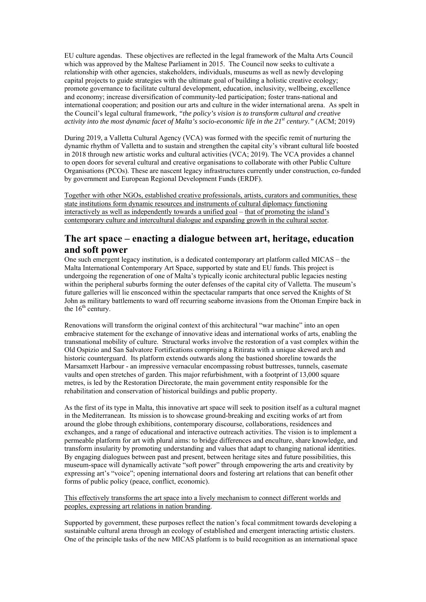EU culture agendas. These objectives are reflected in the legal framework of the Malta Arts Council which was approved by the Maltese Parliament in 2015. The Council now seeks to cultivate a relationship with other agencies, stakeholders, individuals, museums as well as newly developing capital projects to guide strategies with the ultimate goal of building a holistic creative ecology; promote governance to facilitate cultural development, education, inclusivity, wellbeing, excellence and economy; increase diversification of community-led participation; foster trans-national and international cooperation; and position our arts and culture in the wider international arena. As spelt in the Council's legal cultural framework, *"the policy's vision is to transform cultural and creative activity into the most dynamic facet of Malta's socio-economic life in the 21st century."* (ACM; 2019)

During 2019, a Valletta Cultural Agency (VCA) was formed with the specific remit of nurturing the dynamic rhythm of Valletta and to sustain and strengthen the capital city's vibrant cultural life boosted in 2018 through new artistic works and cultural activities (VCA; 2019). The VCA provides a channel to open doors for several cultural and creative organisations to collaborate with other Public Culture Organisations (PCOs). These are nascent legacy infrastructures currently under construction, co-funded by government and European Regional Development Funds (ERDF).

Together with other NGOs, established creative professionals, artists, curators and communities, these state institutions form dynamic resources and instruments of cultural diplomacy functioning interactively as well as independently towards a unified goal – that of promoting the island's contemporary culture and intercultural dialogue and expanding growth in the cultural sector.

## **The art space – enacting a dialogue between art, heritage, education and soft power**

One such emergent legacy institution, is a dedicated contemporary art platform called MICAS – the Malta International Contemporary Art Space, supported by state and EU funds. This project is undergoing the regeneration of one of Malta's typically iconic architectural public legacies nesting within the peripheral suburbs forming the outer defenses of the capital city of Valletta. The museum's future galleries will lie ensconced within the spectacular ramparts that once served the Knights of St John as military battlements to ward off recurring seaborne invasions from the Ottoman Empire back in the  $16<sup>th</sup>$  century.

Renovations will transform the original context of this architectural "war machine" into an open embracive statement for the exchange of innovative ideas and international works of arts, enabling the transnational mobility of culture. Structural works involve the restoration of a vast complex within the Old Ospizio and San Salvatore Fortifications comprising a Ritirata with a unique skewed arch and historic counterguard. Its platform extends outwards along the bastioned shoreline towards the Marsamxett Harbour - an impressive vernacular encompassing robust buttresses, tunnels, casemate vaults and open stretches of garden. This major refurbishment, with a footprint of 13,000 square metres, is led by the Restoration Directorate, the main government entity responsible for the rehabilitation and conservation of historical buildings and public property.

As the first of its type in Malta, this innovative art space will seek to position itself as a cultural magnet in the Mediterranean. Its mission is to showcase ground-breaking and exciting works of art from around the globe through exhibitions, contemporary discourse, collaborations, residences and exchanges, and a range of educational and interactive outreach activities. The vision is to implement a permeable platform for art with plural aims: to bridge differences and enculture, share knowledge, and transform insularity by promoting understanding and values that adapt to changing national identities. By engaging dialogues between past and present, between heritage sites and future possibilities, this museum-space will dynamically activate "soft power" through empowering the arts and creativity by expressing art's "voice"; opening international doors and fostering art relations that can benefit other forms of public policy (peace, conflict, economic).

This effectively transforms the art space into a lively mechanism to connect different worlds and peoples, expressing art relations in nation branding.

Supported by government, these purposes reflect the nation's focal commitment towards developing a sustainable cultural arena through an ecology of established and emergent interacting artistic clusters. One of the principle tasks of the new MICAS platform is to build recognition as an international space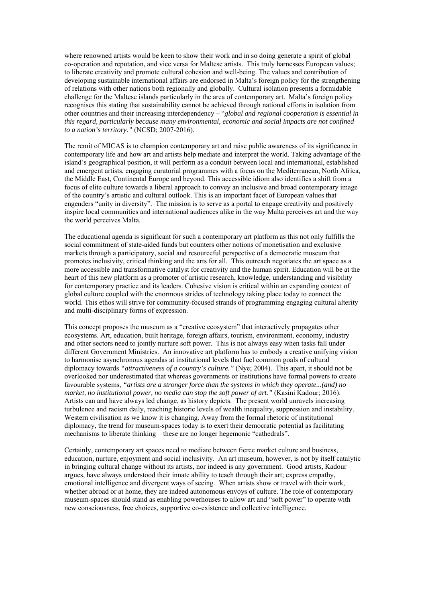where renowned artists would be keen to show their work and in so doing generate a spirit of global co-operation and reputation, and vice versa for Maltese artists. This truly harnesses European values; to liberate creativity and promote cultural cohesion and well-being. The values and contribution of developing sustainable international affairs are endorsed in Malta's foreign policy for the strengthening of relations with other nations both regionally and globally. Cultural isolation presents a formidable challenge for the Maltese islands particularly in the area of contemporary art. Malta's foreign policy recognises this stating that sustainability cannot be achieved through national efforts in isolation from other countries and their increasing interdependency – "*global and regional cooperation is essential in this regard, particularly because many environmental, economic and social impacts are not confined to a nation's territory."* (NCSD; 2007-2016).

The remit of MICAS is to champion contemporary art and raise public awareness of its significance in contemporary life and how art and artists help mediate and interpret the world. Taking advantage of the island's geographical position, it will perform as a conduit between local and international, established and emergent artists, engaging curatorial programmes with a focus on the Mediterranean, North Africa, the Middle East, Continental Europe and beyond. This accessible idiom also identifies a shift from a focus of elite culture towards a liberal approach to convey an inclusive and broad contemporary image of the country's artistic and cultural outlook. This is an important facet of European values that engenders "unity in diversity". The mission is to serve as a portal to engage creativity and positively inspire local communities and international audiences alike in the way Malta perceives art and the way the world perceives Malta.

The educational agenda is significant for such a contemporary art platform as this not only fulfills the social commitment of state-aided funds but counters other notions of monetisation and exclusive markets through a participatory, social and resourceful perspective of a democratic museum that promotes inclusivity, critical thinking and the arts for all. This outreach negotiates the art space as a more accessible and transformative catalyst for creativity and the human spirit. Education will be at the heart of this new platform as a promoter of artistic research, knowledge, understanding and visibility for contemporary practice and its leaders. Cohesive vision is critical within an expanding context of global culture coupled with the enormous strides of technology taking place today to connect the world. This ethos will strive for community-focused strands of programming engaging cultural alterity and multi-disciplinary forms of expression.

This concept proposes the museum as a "creative ecosystem" that interactively propagates other ecosystems. Art, education, built heritage, foreign affairs, tourism, environment, economy, industry and other sectors need to jointly nurture soft power. This is not always easy when tasks fall under different Government Ministries. An innovative art platform has to embody a creative unifying vision to harmonise asynchronous agendas at institutional levels that fuel common goals of cultural diplomacy towards *"attractiveness of a country's culture."* (Nye; 2004). This apart, it should not be overlooked nor underestimated that whereas governments or institutions have formal powers to create favourable systems, *"artists are a stronger force than the systems in which they operate...(and) no market, no institutional power, no media can stop the soft power of art."* (Kasini Kadour; 2016). Artists can and have always led change, as history depicts. The present world unravels increasing turbulence and racism daily, reaching historic levels of wealth inequality, suppression and instability. Western civilisation as we know it is changing. Away from the formal rhetoric of institutional diplomacy, the trend for museum-spaces today is to exert their democratic potential as facilitating mechanisms to liberate thinking – these are no longer hegemonic "cathedrals".

Certainly, contemporary art spaces need to mediate between fierce market culture and business, education, nurture, enjoyment and social inclusivity. An art museum, however, is not by itself catalytic in bringing cultural change without its artists, nor indeed is any government. Good artists, Kadour argues, have always understood their innate ability to teach through their art; express empathy, emotional intelligence and divergent ways of seeing. When artists show or travel with their work, whether abroad or at home, they are indeed autonomous envoys of culture. The role of contemporary museum-spaces should stand as enabling powerhouses to allow art and "soft power" to operate with new consciousness, free choices, supportive co-existence and collective intelligence.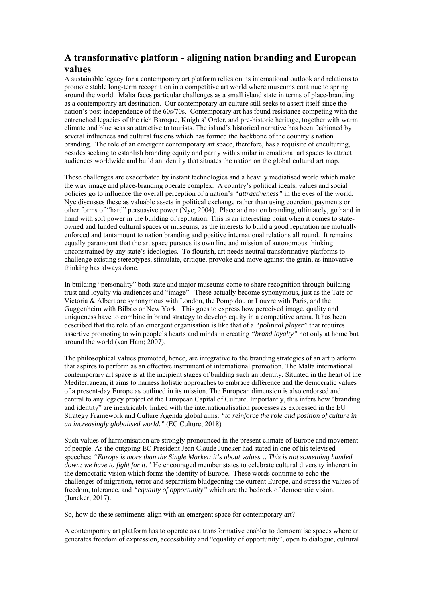## **A transformative platform - aligning nation branding and European values**

A sustainable legacy for a contemporary art platform relies on its international outlook and relations to promote stable long-term recognition in a competitive art world where museums continue to spring around the world. Malta faces particular challenges as a small island state in terms of place-branding as a contemporary art destination. Our contemporary art culture still seeks to assert itself since the nation's post-independence of the 60s/70s. Contemporary art has found resistance competing with the entrenched legacies of the rich Baroque, Knights' Order, and pre-historic heritage, together with warm climate and blue seas so attractive to tourists. The island's historical narrative has been fashioned by several influences and cultural fusions which has formed the backbone of the country's nation branding. The role of an emergent contemporary art space, therefore, has a requisite of enculturing, besides seeking to establish branding equity and parity with similar international art spaces to attract audiences worldwide and build an identity that situates the nation on the global cultural art map.

These challenges are exacerbated by instant technologies and a heavily mediatised world which make the way image and place-branding operate complex. A country's political ideals, values and social policies go to influence the overall perception of a nation's *"attractiveness"* in the eyes of the world. Nye discusses these as valuable assets in political exchange rather than using coercion, payments or other forms of "hard" persuasive power (Nye; 2004). Place and nation branding, ultimately, go hand in hand with soft power in the building of reputation. This is an interesting point when it comes to stateowned and funded cultural spaces or museums, as the interests to build a good reputation are mutually enforced and tantamount to nation branding and positive international relations all round. It remains equally paramount that the art space pursues its own line and mission of autonomous thinking unconstrained by any state's ideologies. To flourish, art needs neutral transformative platforms to challenge existing stereotypes, stimulate, critique, provoke and move against the grain, as innovative thinking has always done.

In building "personality" both state and major museums come to share recognition through building trust and loyalty via audiences and "image". These actually become synonymous, just as the Tate or Victoria & Albert are synonymous with London, the Pompidou or Louvre with Paris, and the Guggenheim with Bilbao or New York. This goes to express how perceived image, quality and uniqueness have to combine in brand strategy to develop equity in a competitive arena. It has been described that the role of an emergent organisation is like that of a *"political player"* that requires assertive promoting to win people's hearts and minds in creating *"brand loyalty"* not only at home but around the world (van Ham; 2007).

The philosophical values promoted, hence, are integrative to the branding strategies of an art platform that aspires to perform as an effective instrument of international promotion. The Malta international contemporary art space is at the incipient stages of building such an identity. Situated in the heart of the Mediterranean, it aims to harness holistic approaches to embrace difference and the democratic values of a present-day Europe as outlined in its mission. The European dimension is also endorsed and central to any legacy project of the European Capital of Culture. Importantly, this infers how "branding and identity" are inextricably linked with the internationalisation processes as expressed in the EU Strategy Framework and Culture Agenda global aims: *"to reinforce the role and position of culture in an increasingly globalised world."* (EC Culture; 2018)

Such values of harmonisation are strongly pronounced in the present climate of Europe and movement of people. As the outgoing EC President Jean Claude Juncker had stated in one of his televised speeches: *"Europe is more than the Single Market; it's about values… This is not something handed down; we have to fight for it."* He encouraged member states to celebrate cultural diversity inherent in the democratic vision which forms the identity of Europe. These words continue to echo the challenges of migration, terror and separatism bludgeoning the current Europe, and stress the values of freedom, tolerance, and *"equality of opportunity"* which are the bedrock of democratic vision. (Juncker; 2017).

So, how do these sentiments align with an emergent space for contemporary art?

A contemporary art platform has to operate as a transformative enabler to democratise spaces where art generates freedom of expression, accessibility and "equality of opportunity", open to dialogue, cultural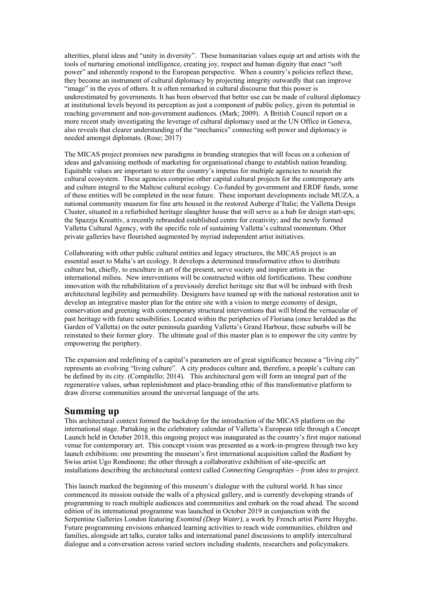alterities, plural ideas and "unity in diversity". These humanitarian values equip art and artists with the tools of nurturing emotional intelligence, creating joy, respect and human dignity that enact "soft power" and inherently respond to the European perspective. When a country's policies reflect these, they become an instrument of cultural diplomacy by projecting integrity outwardly that can improve "image" in the eyes of others. It is often remarked in cultural discourse that this power is underestimated by governments. It has been observed that better use can be made of cultural diplomacy at institutional levels beyond its perception as just a component of public policy, given its potential in reaching government and non-government audiences. (Mark; 2009). A British Council report on a more recent study investigating the leverage of cultural diplomacy used at the UN Office in Geneva, also reveals that clearer understanding of the "mechanics" connecting soft power and diplomacy is needed amongst diplomats. (Rose; 2017)

The MICAS project promises new paradigms in branding strategies that will focus on a cohesion of ideas and galvanising methods of marketing for organisational change to establish nation branding. Equitable values are important to steer the country's impetus for multiple agencies to nourish the cultural ecosystem. These agencies comprise other capital cultural projects for the contemporary arts and culture integral to the Maltese cultural ecology. Co-funded by government and ERDF funds, some of these entities will be completed in the near future. These important developments include MUZA, a national community museum for fine arts housed in the restored Auberge d'Italie; the Valletta Design Cluster, situated in a refurbished heritage slaughter house that will serve as a hub for design start-ups; the Spazzju Kreattiv, a recently rebranded established centre for creativity; and the newly formed Valletta Cultural Agency, with the specific role of sustaining Valletta's cultural momentum. Other private galleries have flourished augmented by myriad independent artist initiatives.

Collaborating with other public cultural entities and legacy structures, the MICAS project is an essential asset to Malta's art ecology. It develops a determined transformative ethos to distribute culture but, chiefly, to enculture in art of the present, serve society and inspire artists in the international milieu. New interventions will be constructed within old fortifications. These combine innovation with the rehabilitation of a previously derelict heritage site that will be imbued with fresh architectural legibility and permeability. Designers have teamed up with the national restoration unit to develop an integrative master plan for the entire site with a vision to merge economy of design, conservation and greening with contemporary structural interventions that will blend the vernacular of past heritage with future sensibilities. Located within the peripheries of Floriana (once heralded as the Garden of Valletta) on the outer peninsula guarding Valletta's Grand Harbour, these suburbs will be reinstated to their former glory. The ultimate goal of this master plan is to empower the city centre by empowering the periphery.

The expansion and redefining of a capital's parameters are of great significance because a "living city" represents an evolving "living culture". A city produces culture and, therefore, a people's culture can be defined by its city. (Compitello; 2014). This architectural gem will form an integral part of the regenerative values, urban replenishment and place-branding ethic of this transformative platform to draw diverse communities around the universal language of the arts.

#### **Summing up**

This architectural context formed the backdrop for the introduction of the MICAS platform on the international stage. Partaking in the celebratory calendar of Valletta's European title through a Concept Launch held in October 2018, this ongoing project was inaugurated as the country's first major national venue for contemporary art. This concept vision was presented as a work-in-progress through two key launch exhibitions: one presenting the museum's first international acquisition called the *Radiant* by Swiss artist Ugo Rondinone; the other through a collaborative exhibition of site-specific art installations describing the architectural context called *Connecting Geographies – from idea to project*.

This launch marked the beginning of this museum's dialogue with the cultural world. It has since commenced its mission outside the walls of a physical gallery, and is currently developing strands of programming to reach multiple audiences and communities and embark on the road ahead. The second edition of its international programme was launched in October 2019 in conjunction with the Serpentine Galleries London featuring *Exomind (Deep Water)*, a work by French artist Pierre Huyghe. Future programming envisions enhanced learning activities to reach wide communities, children and families, alongside art talks, curator talks and international panel discussions to amplify intercultural dialogue and a conversation across varied sectors including students, researchers and policymakers.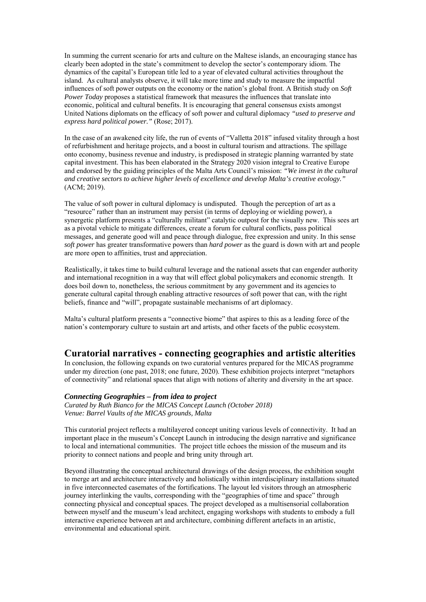In summing the current scenario for arts and culture on the Maltese islands, an encouraging stance has clearly been adopted in the state's commitment to develop the sector's contemporary idiom. The dynamics of the capital's European title led to a year of elevated cultural activities throughout the island. As cultural analysts observe, it will take more time and study to measure the impactful influences of soft power outputs on the economy or the nation's global front. A British study on *Soft Power Today* proposes a statistical framework that measures the influences that translate into economic, political and cultural benefits. It is encouraging that general consensus exists amongst United Nations diplomats on the efficacy of soft power and cultural diplomacy *"used to preserve and express hard political power."* (Rose; 2017).

In the case of an awakened city life, the run of events of "Valletta 2018" infused vitality through a host of refurbishment and heritage projects, and a boost in cultural tourism and attractions. The spillage onto economy, business revenue and industry, is predisposed in strategic planning warranted by state capital investment. This has been elaborated in the Strategy 2020 vision integral to Creative Europe and endorsed by the guiding principles of the Malta Arts Council's mission: *"We invest in the cultural and creative sectors to achieve higher levels of excellence and develop Malta's creative ecology."* (ACM; 2019).

The value of soft power in cultural diplomacy is undisputed. Though the perception of art as a "resource" rather than an instrument may persist (in terms of deploying or wielding power), a synergetic platform presents a "culturally militant" catalytic outpost for the visually new. This sees art as a pivotal vehicle to mitigate differences, create a forum for cultural conflicts, pass political messages, and generate good will and peace through dialogue, free expression and unity. In this sense *soft power* has greater transformative powers than *hard power* as the guard is down with art and people are more open to affinities, trust and appreciation.

Realistically, it takes time to build cultural leverage and the national assets that can engender authority and international recognition in a way that will effect global policymakers and economic strength. It does boil down to, nonetheless, the serious commitment by any government and its agencies to generate cultural capital through enabling attractive resources of soft power that can, with the right beliefs, finance and "will", propagate sustainable mechanisms of art diplomacy.

Malta's cultural platform presents a "connective biome" that aspires to this as a leading force of the nation's contemporary culture to sustain art and artists, and other facets of the public ecosystem.

#### **Curatorial narratives - connecting geographies and artistic alterities**

In conclusion, the following expands on two curatorial ventures prepared for the MICAS programme under my direction (one past, 2018; one future, 2020). These exhibition projects interpret "metaphors of connectivity" and relational spaces that align with notions of alterity and diversity in the art space.

#### *Connecting Geographies – from idea to project*

*Curated by Ruth Bianco for the MICAS Concept Launch (October 2018) Venue: Barrel Vaults of the MICAS grounds, Malta* 

This curatorial project reflects a multilayered concept uniting various levels of connectivity. It had an important place in the museum's Concept Launch in introducing the design narrative and significance to local and international communities. The project title echoes the mission of the museum and its priority to connect nations and people and bring unity through art.

Beyond illustrating the conceptual architectural drawings of the design process, the exhibition sought to merge art and architecture interactively and holistically within interdisciplinary installations situated in five interconnected casemates of the fortifications. The layout led visitors through an atmospheric journey interlinking the vaults, corresponding with the "geographies of time and space" through connecting physical and conceptual spaces. The project developed as a multisensorial collaboration between myself and the museum's lead architect, engaging workshops with students to embody a full interactive experience between art and architecture, combining different artefacts in an artistic, environmental and educational spirit.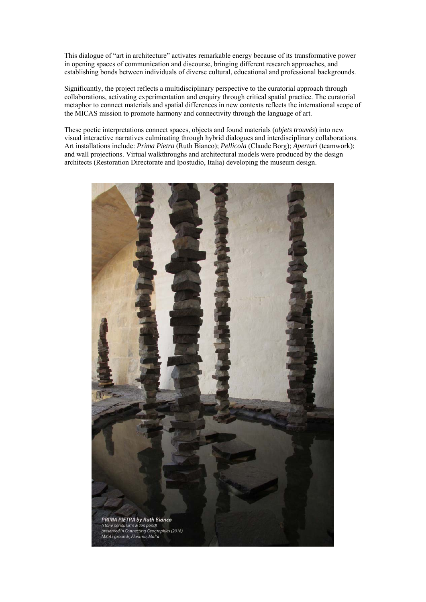This dialogue of "art in architecture" activates remarkable energy because of its transformative power in opening spaces of communication and discourse, bringing different research approaches, and establishing bonds between individuals of diverse cultural, educational and professional backgrounds.

Significantly, the project reflects a multidisciplinary perspective to the curatorial approach through collaborations, activating experimentation and enquiry through critical spatial practice. The curatorial metaphor to connect materials and spatial differences in new contexts reflects the international scope of the MICAS mission to promote harmony and connectivity through the language of art.

These poetic interpretations connect spaces, objects and found materials (*objets trouvés*) into new visual interactive narratives culminating through hybrid dialogues and interdisciplinary collaborations. Art installations include: *Prima Pietra* (Ruth Bianco); *Pellicola* (Claude Borg); *Aperturi* (teamwork); and wall projections. Virtual walkthroughs and architectural models were produced by the design architects (Restoration Directorate and Ipostudio, Italia) developing the museum design.

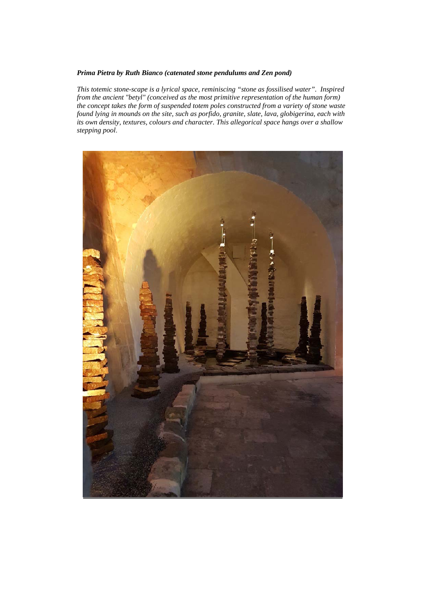#### *Prima Pietra by Ruth Bianco (catenated stone pendulums and Zen pond)*

*This totemic stone-scape is a lyrical space, reminiscing "stone as fossilised water". Inspired from the ancient "betyl" (conceived as the most primitive representation of the human form) the concept takes the form of suspended totem poles constructed from a variety of stone waste found lying in mounds on the site, such as porfido, granite, slate, lava, globigerina, each with its own density, textures, colours and character. This allegorical space hangs over a shallow stepping pool*.

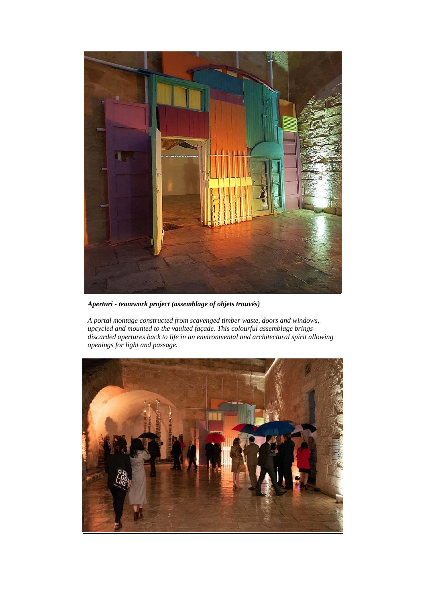

*Aperturi - teamwork project (assemblage of objets trouvés)*

*A portal montage constructed from scavenged timber waste, doors and windows, upcycled and mounted to the vaulted façade. This colourful assemblage brings discarded apertures back to life in an environmental and architectural spirit allowing openings for light and passage.* 

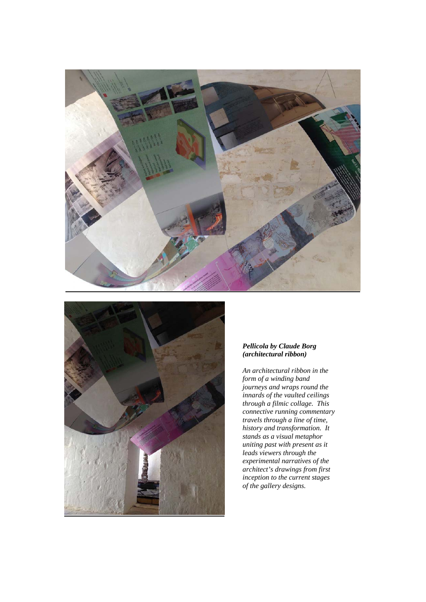



#### *Pellicola by Claude Borg (architectural ribbon)*

*An architectural ribbon in the form of a winding band journeys and wraps round the innards of the vaulted ceilings through a filmic collage. This connective running commentary travels through a line of time, history and transformation. It stands as a visual metaphor uniting past with present as it leads viewers through the experimental narratives of the architect's drawings from first inception to the current stages of the gallery designs.*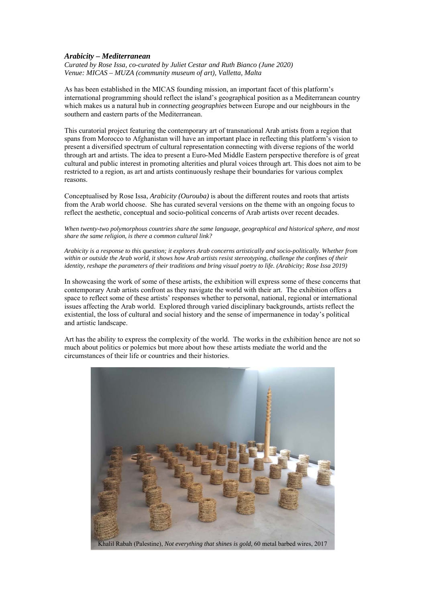#### *Arabicity – Mediterranean*

*Curated by Rose Issa, co-curated by Juliet Cestar and Ruth Bianco (June 2020) Venue: MICAS – MUZA (community museum of art), Valletta, Malta* 

As has been established in the MICAS founding mission, an important facet of this platform's international programming should reflect the island's geographical position as a Mediterranean country which makes us a natural hub in *connecting geographies* between Europe and our neighbours in the southern and eastern parts of the Mediterranean.

This curatorial project featuring the contemporary art of transnational Arab artists from a region that spans from Morocco to Afghanistan will have an important place in reflecting this platform's vision to present a diversified spectrum of cultural representation connecting with diverse regions of the world through art and artists. The idea to present a Euro-Med Middle Eastern perspective therefore is of great cultural and public interest in promoting alterities and plural voices through art. This does not aim to be restricted to a region, as art and artists continuously reshape their boundaries for various complex reasons.

Conceptualised by Rose Issa, *Arabicity (Ourouba)* is about the different routes and roots that artists from the Arab world choose. She has curated several versions on the theme with an ongoing focus to reflect the aesthetic, conceptual and socio-political concerns of Arab artists over recent decades.

*When twenty-two polymorphous countries share the same language, geographical and historical sphere, and most share the same religion, is there a common cultural link?* 

*Arabicity is a response to this question; it explores Arab concerns artistically and socio-politically. Whether from within or outside the Arab world, it shows how Arab artists resist stereotyping, challenge the confines of their identity, reshape the parameters of their traditions and bring visual poetry to life. (Arabicity; Rose Issa 2019)* 

In showcasing the work of some of these artists, the exhibition will express some of these concerns that contemporary Arab artists confront as they navigate the world with their art. The exhibition offers a space to reflect some of these artists' responses whether to personal, national, regional or international issues affecting the Arab world. Explored through varied disciplinary backgrounds, artists reflect the existential, the loss of cultural and social history and the sense of impermanence in today's political and artistic landscape.

Art has the ability to express the complexity of the world. The works in the exhibition hence are not so much about politics or polemics but more about how these artists mediate the world and the circumstances of their life or countries and their histories.

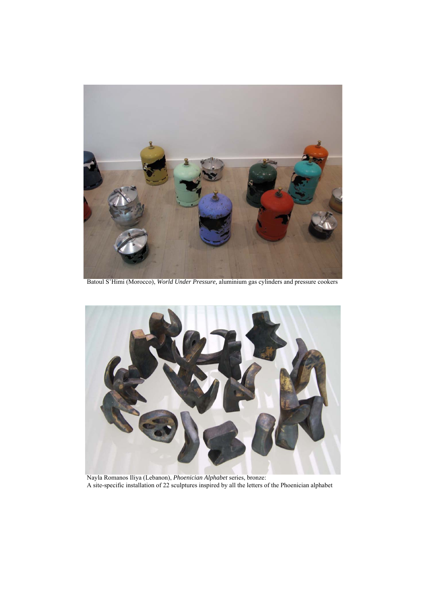

Batoul S'Himi (Morocco), *World Under Pressure,* aluminium gas cylinders and pressure cookers



 Nayla Romanos Iliya (Lebanon), *Phoenician Alphabet* series, bronze: A site-specific installation of 22 sculptures inspired by all the letters of the Phoenician alphabet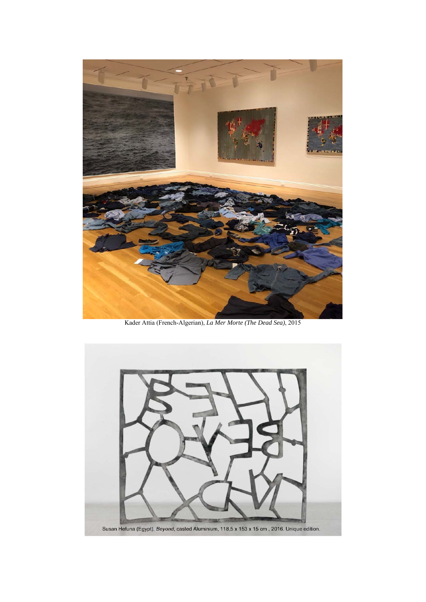

Kader Attia (French-Algerian), *La Mer Morte (The Dead Sea)*, 2015

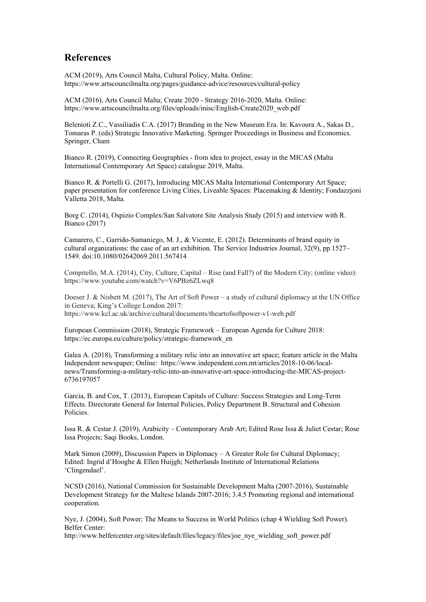## **References**

ACM (2019), Arts Council Malta, Cultural Policy, Malta. Online: https://www.artscouncilmalta.org/pages/guidance-advice/resources/cultural-policy

ACM (2016), Arts Council Malta; Create 2020 - Strategy 2016-2020, Malta. Online: https://www.artscouncilmalta.org/files/uploads/misc/English-Create2020\_web.pdf

Belenioti Z.C., Vassiliadis C.A. (2017) Branding in the New Museum Era. In: Kavoura A., Sakas D., Tomaras P. (eds) Strategic Innovative Marketing. Springer Proceedings in Business and Economics. Springer, Cham

Bianco R. (2019), Connecting Geographies - from idea to project, essay in the MICAS (Malta International Contemporary Art Space) catalogue 2019, Malta.

Bianco R. & Portelli G. (2017), Introducing MICAS Malta International Contemporary Art Space; paper presentation for conference Living Cities, Liveable Spaces: Placemaking & Identity; Fondazzjoni Valletta 2018, Malta.

Borg C. (2014), Ospizio Complex/San Salvatore Site Analysis Study (2015) and interview with R. Bianco (2017)

Camarero, C., Garrido-Samaniego, M. J., & Vicente, E. (2012). Determinants of brand equity in cultural organizations: the case of an art exhibition. The Service Industries Journal, 32(9), pp.1527– 1549. doi:10.1080/02642069.2011.567414

Compitello, M.A. (2014), City, Culture, Capital – Rise (and Fall?) of the Modern City; (online video): https://www.youtube.com/watch?v=V6PBz6ZLwq8

Doeser J. & Nisbett M. (2017), The Art of Soft Power – a study of cultural diplomacy at the UN Office in Geneva; King's College London 2017: https://www.kcl.ac.uk/archive/cultural/documents/theartofsoftpower-v1-web.pdf

European Commission (2018), Strategic Framework – European Agenda for Culture 2018: https://ec.europa.eu/culture/policy/strategic-framework\_en

Galea A. (2018), Transforming a military relic into an innovative art space; feature article in the Malta Independent newspaper; Online: https://www.independent.com.mt/articles/2018-10-06/localnews/Transforming-a-military-relic-into-an-innovative-art-space-introducing-the-MICAS-project-6736197057

Garcia, B. and Cox, T. (2013), European Capitals of Culture: Success Strategies and Long-Term Effects. Directorate General for Internal Policies, Policy Department B. Structural and Cohesion Policies.

Issa R. & Cestar J. (2019), Arabicity – Contemporary Arab Art; Edited Rose Issa & Juliet Cestar; Rose Issa Projects; Saqi Books, London.

Mark Simon (2009), Discussion Papers in Diplomacy – A Greater Role for Cultural Diplomacy; Edited: Ingrid d'Hooghe & Ellen Huijgh; Netherlands Institute of International Relations 'Clingendael'.

NCSD (2016), National Commission for Sustainable Development Malta (2007-2016), Sustainable Development Strategy for the Maltese Islands 2007-2016; 3.4.5 Promoting regional and international cooperation.

Nye, J. (2004), Soft Power: The Means to Success in World Politics (chap 4 Wielding Soft Power). Belfer Center:

http://www.belfercenter.org/sites/default/files/legacy/files/joe\_nye\_wielding\_soft\_power.pdf